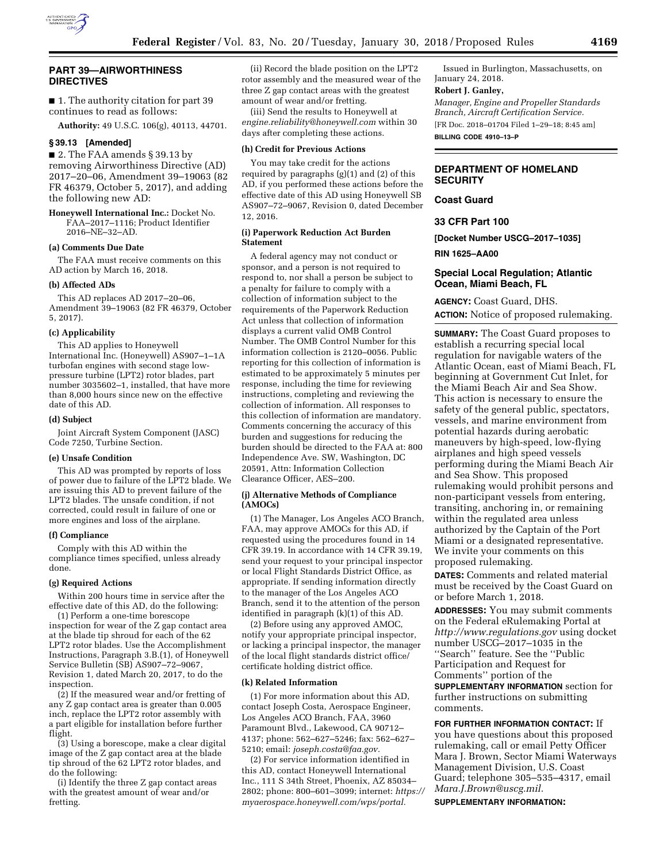

# **PART 39—AIRWORTHINESS DIRECTIVES**

■ 1. The authority citation for part 39 continues to read as follows:

**Authority:** 49 U.S.C. 106(g), 40113, 44701.

# **§ 39.13 [Amended]**

■ 2. The FAA amends § 39.13 by removing Airworthiness Directive (AD) 2017–20–06, Amendment 39–19063 (82 FR 46379, October 5, 2017), and adding the following new AD:

**Honeywell International Inc.:** Docket No. FAA–2017–1116; Product Identifier 2016–NE–32–AD.

### **(a) Comments Due Date**

The FAA must receive comments on this AD action by March 16, 2018.

### **(b) Affected ADs**

This AD replaces AD 2017–20–06, Amendment 39–19063 (82 FR 46379, October 5, 2017).

#### **(c) Applicability**

This AD applies to Honeywell International Inc. (Honeywell) AS907–1–1A turbofan engines with second stage lowpressure turbine (LPT2) rotor blades, part number 3035602–1, installed, that have more than 8,000 hours since new on the effective date of this AD.

#### **(d) Subject**

Joint Aircraft System Component (JASC) Code 7250, Turbine Section.

### **(e) Unsafe Condition**

This AD was prompted by reports of loss of power due to failure of the LPT2 blade. We are issuing this AD to prevent failure of the LPT2 blades. The unsafe condition, if not corrected, could result in failure of one or more engines and loss of the airplane.

#### **(f) Compliance**

Comply with this AD within the compliance times specified, unless already done.

#### **(g) Required Actions**

Within 200 hours time in service after the effective date of this AD, do the following:

(1) Perform a one-time borescope inspection for wear of the Z gap contact area at the blade tip shroud for each of the 62 LPT2 rotor blades. Use the Accomplishment Instructions, Paragraph 3.B.(1), of Honeywell Service Bulletin (SB) AS907-72-9067, Revision 1, dated March 20, 2017, to do the inspection.

(2) If the measured wear and/or fretting of any Z gap contact area is greater than 0.005 inch, replace the LPT2 rotor assembly with a part eligible for installation before further flight.

(3) Using a borescope, make a clear digital image of the Z gap contact area at the blade tip shroud of the 62 LPT2 rotor blades, and do the following:

(i) Identify the three Z gap contact areas with the greatest amount of wear and/or fretting.

(ii) Record the blade position on the LPT2 rotor assembly and the measured wear of the three Z gap contact areas with the greatest amount of wear and/or fretting.

(iii) Send the results to Honeywell at *[engine.reliability@honeywell.com](mailto:engine.reliability@honeywell.com)* within 30 days after completing these actions.

# **(h) Credit for Previous Actions**

You may take credit for the actions required by paragraphs (g)(1) and (2) of this AD, if you performed these actions before the effective date of this AD using Honeywell SB AS907–72–9067, Revision 0, dated December 12, 2016.

### **(i) Paperwork Reduction Act Burden Statement**

A federal agency may not conduct or sponsor, and a person is not required to respond to, nor shall a person be subject to a penalty for failure to comply with a collection of information subject to the requirements of the Paperwork Reduction Act unless that collection of information displays a current valid OMB Control Number. The OMB Control Number for this information collection is 2120–0056. Public reporting for this collection of information is estimated to be approximately 5 minutes per response, including the time for reviewing instructions, completing and reviewing the collection of information. All responses to this collection of information are mandatory. Comments concerning the accuracy of this burden and suggestions for reducing the burden should be directed to the FAA at: 800 Independence Ave. SW, Washington, DC 20591, Attn: Information Collection Clearance Officer, AES–200.

### **(j) Alternative Methods of Compliance (AMOCs)**

(1) The Manager, Los Angeles ACO Branch, FAA, may approve AMOCs for this AD, if requested using the procedures found in 14 CFR 39.19. In accordance with 14 CFR 39.19, send your request to your principal inspector or local Flight Standards District Office, as appropriate. If sending information directly to the manager of the Los Angeles ACO Branch, send it to the attention of the person identified in paragraph (k)(1) of this AD.

(2) Before using any approved AMOC, notify your appropriate principal inspector, or lacking a principal inspector, the manager of the local flight standards district office/ certificate holding district office.

#### **(k) Related Information**

(1) For more information about this AD, contact Joseph Costa, Aerospace Engineer, Los Angeles ACO Branch, FAA, 3960 Paramount Blvd., Lakewood, CA 90712– 4137; phone: 562–627–5246; fax: 562–627– 5210; email: *[joseph.costa@faa.gov.](mailto:joseph.costa@faa.gov)* 

(2) For service information identified in this AD, contact Honeywell International Inc., 111 S 34th Street, Phoenix, AZ 85034– 2802; phone: 800–601–3099; internet: *[https://](https://myaerospace.honeywell.com/wps/portal)  [myaerospace.honeywell.com/wps/portal.](https://myaerospace.honeywell.com/wps/portal)* 

Issued in Burlington, Massachusetts, on January 24, 2018.

### **Robert J. Ganley,**

*Manager, Engine and Propeller Standards Branch, Aircraft Certification Service.*  [FR Doc. 2018–01704 Filed 1–29–18; 8:45 am]

**BILLING CODE 4910–13–P** 

# **DEPARTMENT OF HOMELAND SECURITY**

**Coast Guard** 

# **33 CFR Part 100**

**[Docket Number USCG–2017–1035]** 

**RIN 1625–AA00** 

# **Special Local Regulation; Atlantic Ocean, Miami Beach, FL**

**AGENCY:** Coast Guard, DHS. **ACTION:** Notice of proposed rulemaking.

**SUMMARY:** The Coast Guard proposes to establish a recurring special local regulation for navigable waters of the Atlantic Ocean, east of Miami Beach, FL beginning at Government Cut Inlet, for the Miami Beach Air and Sea Show. This action is necessary to ensure the safety of the general public, spectators, vessels, and marine environment from potential hazards during aerobatic maneuvers by high-speed, low-flying airplanes and high speed vessels performing during the Miami Beach Air and Sea Show. This proposed rulemaking would prohibit persons and non-participant vessels from entering, transiting, anchoring in, or remaining within the regulated area unless authorized by the Captain of the Port Miami or a designated representative. We invite your comments on this proposed rulemaking.

**DATES:** Comments and related material must be received by the Coast Guard on or before March 1, 2018.

**ADDRESSES:** You may submit comments on the Federal eRulemaking Portal at *<http://www.regulations.gov>* using docket number USCG–2017–1035 in the ''Search'' feature. See the ''Public Participation and Request for Comments'' portion of the **SUPPLEMENTARY INFORMATION** section for further instructions on submitting comments.

**FOR FURTHER INFORMATION CONTACT:** If you have questions about this proposed rulemaking, call or email Petty Officer Mara J. Brown, Sector Miami Waterways Management Division, U.S. Coast Guard; telephone 305–535–4317, email *[Mara.J.Brown@uscg.mil.](mailto:Mara.J.Brown@uscg.mil)* 

**SUPPLEMENTARY INFORMATION:**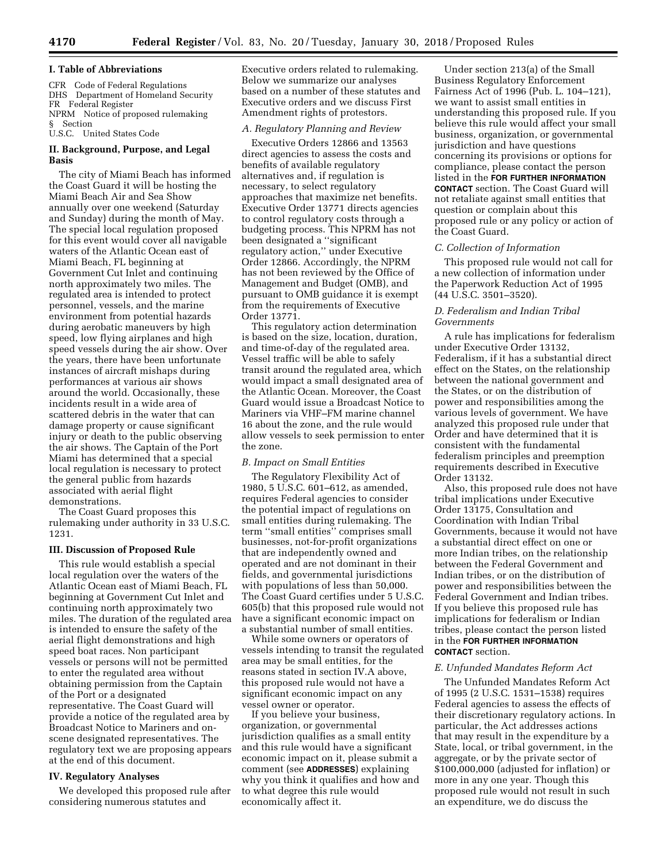CFR Code of Federal Regulations DHS Department of Homeland Security FR Federal Register NPRM Notice of proposed rulemaking § Section

# U.S.C. United States Code

# **II. Background, Purpose, and Legal Basis**

The city of Miami Beach has informed the Coast Guard it will be hosting the Miami Beach Air and Sea Show annually over one weekend (Saturday and Sunday) during the month of May. The special local regulation proposed for this event would cover all navigable waters of the Atlantic Ocean east of Miami Beach, FL beginning at Government Cut Inlet and continuing north approximately two miles. The regulated area is intended to protect personnel, vessels, and the marine environment from potential hazards during aerobatic maneuvers by high speed, low flying airplanes and high speed vessels during the air show. Over the years, there have been unfortunate instances of aircraft mishaps during performances at various air shows around the world. Occasionally, these incidents result in a wide area of scattered debris in the water that can damage property or cause significant injury or death to the public observing the air shows. The Captain of the Port Miami has determined that a special local regulation is necessary to protect the general public from hazards associated with aerial flight demonstrations.

The Coast Guard proposes this rulemaking under authority in 33 U.S.C. 1231.

# **III. Discussion of Proposed Rule**

This rule would establish a special local regulation over the waters of the Atlantic Ocean east of Miami Beach, FL beginning at Government Cut Inlet and continuing north approximately two miles. The duration of the regulated area is intended to ensure the safety of the aerial flight demonstrations and high speed boat races. Non participant vessels or persons will not be permitted to enter the regulated area without obtaining permission from the Captain of the Port or a designated representative. The Coast Guard will provide a notice of the regulated area by Broadcast Notice to Mariners and onscene designated representatives. The regulatory text we are proposing appears at the end of this document.

#### **IV. Regulatory Analyses**

We developed this proposed rule after considering numerous statutes and

Executive orders related to rulemaking. Below we summarize our analyses based on a number of these statutes and Executive orders and we discuss First Amendment rights of protestors.

# *A. Regulatory Planning and Review*

Executive Orders 12866 and 13563 direct agencies to assess the costs and benefits of available regulatory alternatives and, if regulation is necessary, to select regulatory approaches that maximize net benefits. Executive Order 13771 directs agencies to control regulatory costs through a budgeting process. This NPRM has not been designated a ''significant regulatory action,'' under Executive Order 12866. Accordingly, the NPRM has not been reviewed by the Office of Management and Budget (OMB), and pursuant to OMB guidance it is exempt from the requirements of Executive Order 13771.

This regulatory action determination is based on the size, location, duration, and time-of-day of the regulated area. Vessel traffic will be able to safely transit around the regulated area, which would impact a small designated area of the Atlantic Ocean. Moreover, the Coast Guard would issue a Broadcast Notice to Mariners via VHF–FM marine channel 16 about the zone, and the rule would allow vessels to seek permission to enter the zone.

### *B. Impact on Small Entities*

The Regulatory Flexibility Act of 1980, 5 U.S.C. 601–612, as amended, requires Federal agencies to consider the potential impact of regulations on small entities during rulemaking. The term ''small entities'' comprises small businesses, not-for-profit organizations that are independently owned and operated and are not dominant in their fields, and governmental jurisdictions with populations of less than 50,000. The Coast Guard certifies under 5 U.S.C. 605(b) that this proposed rule would not have a significant economic impact on a substantial number of small entities.

While some owners or operators of vessels intending to transit the regulated area may be small entities, for the reasons stated in section IV.A above, this proposed rule would not have a significant economic impact on any vessel owner or operator.

If you believe your business, organization, or governmental jurisdiction qualifies as a small entity and this rule would have a significant economic impact on it, please submit a comment (see **ADDRESSES**) explaining why you think it qualifies and how and to what degree this rule would economically affect it.

Under section 213(a) of the Small Business Regulatory Enforcement Fairness Act of 1996 (Pub. L. 104–121), we want to assist small entities in understanding this proposed rule. If you believe this rule would affect your small business, organization, or governmental jurisdiction and have questions concerning its provisions or options for compliance, please contact the person listed in the **FOR FURTHER INFORMATION CONTACT** section. The Coast Guard will not retaliate against small entities that question or complain about this proposed rule or any policy or action of the Coast Guard.

### *C. Collection of Information*

This proposed rule would not call for a new collection of information under the Paperwork Reduction Act of 1995 (44 U.S.C. 3501–3520).

# *D. Federalism and Indian Tribal Governments*

A rule has implications for federalism under Executive Order 13132, Federalism, if it has a substantial direct effect on the States, on the relationship between the national government and the States, or on the distribution of power and responsibilities among the various levels of government. We have analyzed this proposed rule under that Order and have determined that it is consistent with the fundamental federalism principles and preemption requirements described in Executive Order 13132.

Also, this proposed rule does not have tribal implications under Executive Order 13175, Consultation and Coordination with Indian Tribal Governments, because it would not have a substantial direct effect on one or more Indian tribes, on the relationship between the Federal Government and Indian tribes, or on the distribution of power and responsibilities between the Federal Government and Indian tribes. If you believe this proposed rule has implications for federalism or Indian tribes, please contact the person listed in the **FOR FURTHER INFORMATION CONTACT** section.

### *E. Unfunded Mandates Reform Act*

The Unfunded Mandates Reform Act of 1995 (2 U.S.C. 1531–1538) requires Federal agencies to assess the effects of their discretionary regulatory actions. In particular, the Act addresses actions that may result in the expenditure by a State, local, or tribal government, in the aggregate, or by the private sector of \$100,000,000 (adjusted for inflation) or more in any one year. Though this proposed rule would not result in such an expenditure, we do discuss the